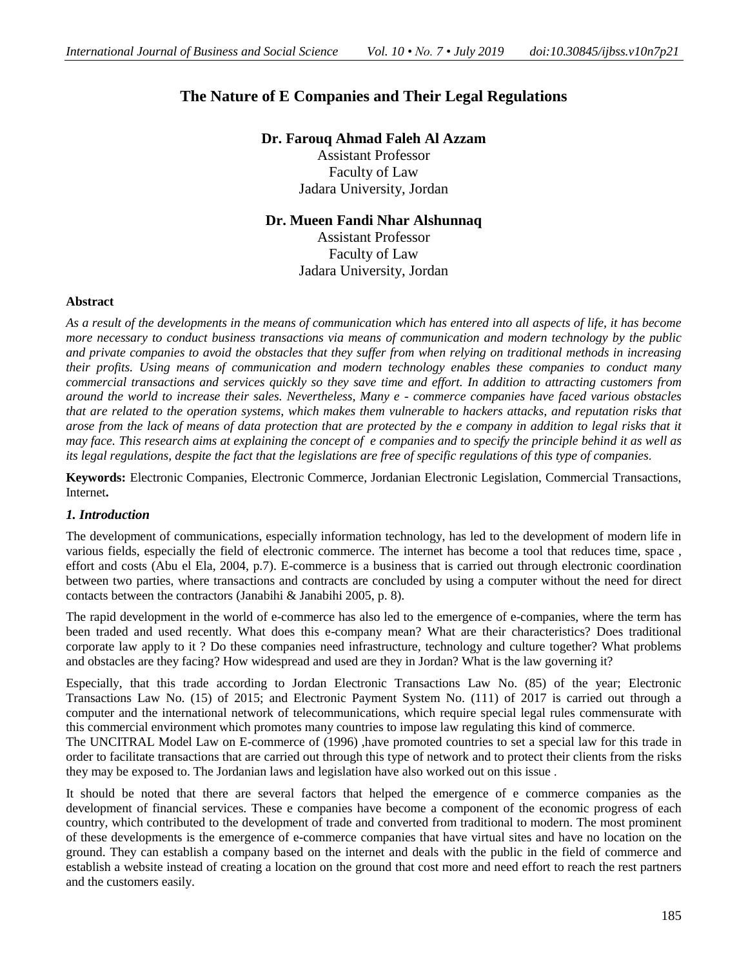# **The Nature of E Companies and Their Legal Regulations**

**Dr. Farouq Ahmad Faleh Al Azzam**

Assistant Professor Faculty of Law Jadara University, Jordan

**Dr. Mueen Fandi Nhar Alshunnaq**

Assistant Professor Faculty of Law Jadara University, Jordan

## **Abstract**

*As a result of the developments in the means of communication which has entered into all aspects of life, it has become more necessary to conduct business transactions via means of communication and modern technology by the public and private companies to avoid the obstacles that they suffer from when relying on traditional methods in increasing their profits. Using means of communication and modern technology enables these companies to conduct many commercial transactions and services quickly so they save time and effort. In addition to attracting customers from around the world to increase their sales. Nevertheless, Many e - commerce companies have faced various obstacles that are related to the operation systems, which makes them vulnerable to hackers attacks, and reputation risks that arose from the lack of means of data protection that are protected by the e company in addition to legal risks that it may face. This research aims at explaining the concept of e companies and to specify the principle behind it as well as its legal regulations, despite the fact that the legislations are free of specific regulations of this type of companies*.

**Keywords:** Electronic Companies, Electronic Commerce, Jordanian Electronic Legislation, Commercial Transactions, Internet**.**

# *1. Introduction*

The development of communications, especially information technology, has led to the development of modern life in various fields, especially the field of electronic commerce. The internet has become a tool that reduces time, space , effort and costs (Abu el Ela, 2004, p.7). E-commerce is a business that is carried out through electronic coordination between two parties, where transactions and contracts are concluded by using a computer without the need for direct contacts between the contractors (Janabihi & Janabihi 2005, p. 8).

The rapid development in the world of e-commerce has also led to the emergence of e-companies, where the term has been traded and used recently. What does this e-company mean? What are their characteristics? Does traditional corporate law apply to it ? Do these companies need infrastructure, technology and culture together? What problems and obstacles are they facing? How widespread and used are they in Jordan? What is the law governing it?

Especially, that this trade according to Jordan Electronic Transactions Law No. (85) of the year; Electronic Transactions Law No. (15) of 2015; and Electronic Payment System No. (111) of 2017 is carried out through a computer and the international network of telecommunications, which require special legal rules commensurate with this commercial environment which promotes many countries to impose law regulating this kind of commerce.

The UNCITRAL Model Law on E-commerce of (1996) ,have promoted countries to set a special law for this trade in order to facilitate transactions that are carried out through this type of network and to protect their clients from the risks they may be exposed to. The Jordanian laws and legislation have also worked out on this issue .

It should be noted that there are several factors that helped the emergence of e commerce companies as the development of financial services. These e companies have become a component of the economic progress of each country, which contributed to the development of trade and converted from traditional to modern. The most prominent of these developments is the emergence of e-commerce companies that have virtual sites and have no location on the ground. They can establish a company based on the internet and deals with the public in the field of commerce and establish a website instead of creating a location on the ground that cost more and need effort to reach the rest partners and the customers easily.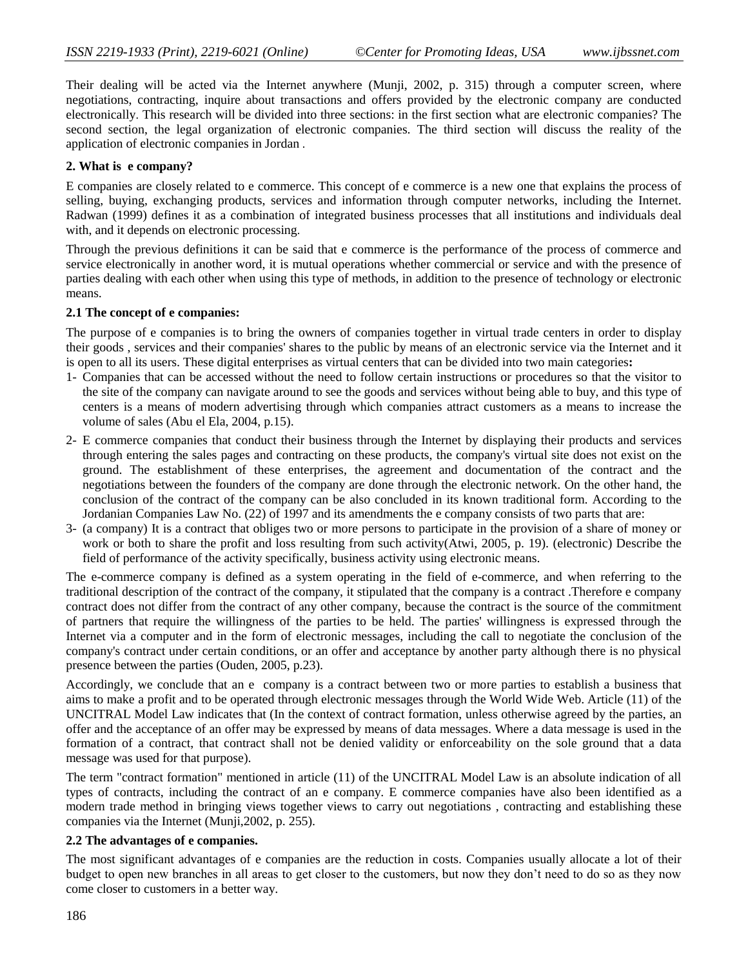Their dealing will be acted via the Internet anywhere (Munji, 2002, p. 315) through a computer screen, where negotiations, contracting, inquire about transactions and offers provided by the electronic company are conducted electronically. This research will be divided into three sections: in the first section what are electronic companies? The second section, the legal organization of electronic companies. The third section will discuss the reality of the application of electronic companies in Jordan .

#### **2. What is e company?**

E companies are closely related to e commerce. This concept of e commerce is a new one that explains the process of selling, buying, exchanging products, services and information through computer networks, including the Internet. Radwan (1999) defines it as a combination of integrated business processes that all institutions and individuals deal with, and it depends on electronic processing.

Through the previous definitions it can be said that e commerce is the performance of the process of commerce and service electronically in another word, it is mutual operations whether commercial or service and with the presence of parties dealing with each other when using this type of methods, in addition to the presence of technology or electronic means.

#### **2.1 The concept of e companies:**

The purpose of e companies is to bring the owners of companies together in virtual trade centers in order to display their goods , services and their companies' shares to the public by means of an electronic service via the Internet and it is open to all its users. These digital enterprises as virtual centers that can be divided into two main categories**:**

- 1- Companies that can be accessed without the need to follow certain instructions or procedures so that the visitor to the site of the company can navigate around to see the goods and services without being able to buy, and this type of centers is a means of modern advertising through which companies attract customers as a means to increase the volume of sales (Abu el Ela, 2004, p.15).
- 2- E commerce companies that conduct their business through the Internet by displaying their products and services through entering the sales pages and contracting on these products, the company's virtual site does not exist on the ground. The establishment of these enterprises, the agreement and documentation of the contract and the negotiations between the founders of the company are done through the electronic network. On the other hand, the conclusion of the contract of the company can be also concluded in its known traditional form. According to the Jordanian Companies Law No. (22) of 1997 and its amendments the e company consists of two parts that are:
- 3- (a company) It is a contract that obliges two or more persons to participate in the provision of a share of money or work or both to share the profit and loss resulting from such activity(Atwi, 2005, p. 19). (electronic) Describe the field of performance of the activity specifically, business activity using electronic means.

The e-commerce company is defined as a system operating in the field of e-commerce, and when referring to the traditional description of the contract of the company, it stipulated that the company is a contract .Therefore e company contract does not differ from the contract of any other company, because the contract is the source of the commitment of partners that require the willingness of the parties to be held. The parties' willingness is expressed through the Internet via a computer and in the form of electronic messages, including the call to negotiate the conclusion of the company's contract under certain conditions, or an offer and acceptance by another party although there is no physical presence between the parties (Ouden, 2005, p.23).

Accordingly, we conclude that an e company is a contract between two or more parties to establish a business that aims to make a profit and to be operated through electronic messages through the World Wide Web. Article (11) of the UNCITRAL Model Law indicates that (In the context of contract formation, unless otherwise agreed by the parties, an offer and the acceptance of an offer may be expressed by means of data messages. Where a data message is used in the formation of a contract, that contract shall not be denied validity or enforceability on the sole ground that a data message was used for that purpose).

The term "contract formation" mentioned in article (11) of the UNCITRAL Model Law is an absolute indication of all types of contracts, including the contract of an e company. E commerce companies have also been identified as a modern trade method in bringing views together views to carry out negotiations , contracting and establishing these companies via the Internet (Munji,2002, p. 255).

#### **2.2 The advantages of e companies.**

The most significant advantages of e companies are the reduction in costs. Companies usually allocate a lot of their budget to open new branches in all areas to get closer to the customers, but now they don't need to do so as they now come closer to customers in a better way.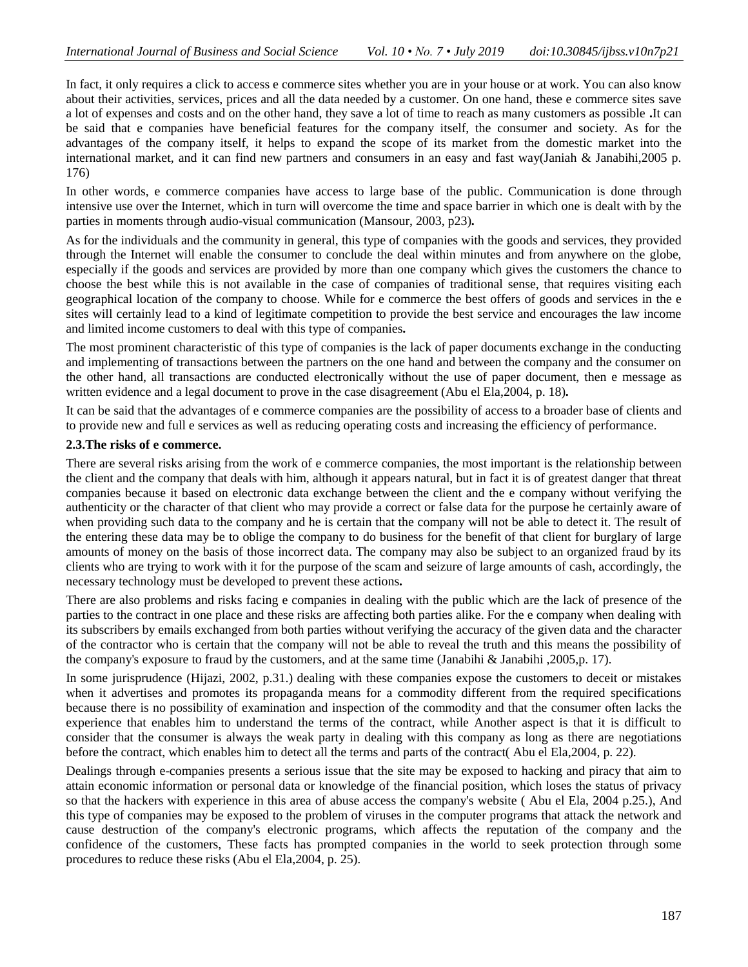In fact, it only requires a click to access e commerce sites whether you are in your house or at work. You can also know about their activities, services, prices and all the data needed by a customer. On one hand, these e commerce sites save a lot of expenses and costs and on the other hand, they save a lot of time to reach as many customers as possible **.**It can be said that e companies have beneficial features for the company itself, the consumer and society. As for the advantages of the company itself, it helps to expand the scope of its market from the domestic market into the international market, and it can find new partners and consumers in an easy and fast way(Janiah & Janabihi,2005 p. 176)

In other words, e commerce companies have access to large base of the public. Communication is done through intensive use over the Internet, which in turn will overcome the time and space barrier in which one is dealt with by the parties in moments through audio-visual communication (Mansour, 2003, p23)**.**

As for the individuals and the community in general, this type of companies with the goods and services, they provided through the Internet will enable the consumer to conclude the deal within minutes and from anywhere on the globe, especially if the goods and services are provided by more than one company which gives the customers the chance to choose the best while this is not available in the case of companies of traditional sense, that requires visiting each geographical location of the company to choose. While for e commerce the best offers of goods and services in the e sites will certainly lead to a kind of legitimate competition to provide the best service and encourages the law income and limited income customers to deal with this type of companies**.**

The most prominent characteristic of this type of companies is the lack of paper documents exchange in the conducting and implementing of transactions between the partners on the one hand and between the company and the consumer on the other hand, all transactions are conducted electronically without the use of paper document, then e message as written evidence and a legal document to prove in the case disagreement (Abu el Ela,2004, p. 18)**.**

It can be said that the advantages of e commerce companies are the possibility of access to a broader base of clients and to provide new and full e services as well as reducing operating costs and increasing the efficiency of performance.

## **2.3.The risks of e commerce.**

There are several risks arising from the work of e commerce companies, the most important is the relationship between the client and the company that deals with him, although it appears natural, but in fact it is of greatest danger that threat companies because it based on electronic data exchange between the client and the e company without verifying the authenticity or the character of that client who may provide a correct or false data for the purpose he certainly aware of when providing such data to the company and he is certain that the company will not be able to detect it. The result of the entering these data may be to oblige the company to do business for the benefit of that client for burglary of large amounts of money on the basis of those incorrect data. The company may also be subject to an organized fraud by its clients who are trying to work with it for the purpose of the scam and seizure of large amounts of cash, accordingly, the necessary technology must be developed to prevent these actions**.**

There are also problems and risks facing e companies in dealing with the public which are the lack of presence of the parties to the contract in one place and these risks are affecting both parties alike. For the e company when dealing with its subscribers by emails exchanged from both parties without verifying the accuracy of the given data and the character of the contractor who is certain that the company will not be able to reveal the truth and this means the possibility of the company's exposure to fraud by the customers, and at the same time (Janabihi & Janabihi ,2005,p. 17).

In some jurisprudence (Hijazi, 2002, p.31.) dealing with these companies expose the customers to deceit or mistakes when it advertises and promotes its propaganda means for a commodity different from the required specifications because there is no possibility of examination and inspection of the commodity and that the consumer often lacks the experience that enables him to understand the terms of the contract, while Another aspect is that it is difficult to consider that the consumer is always the weak party in dealing with this company as long as there are negotiations before the contract, which enables him to detect all the terms and parts of the contract( Abu el Ela,2004, p. 22).

Dealings through e-companies presents a serious issue that the site may be exposed to hacking and piracy that aim to attain economic information or personal data or knowledge of the financial position, which loses the status of privacy so that the hackers with experience in this area of abuse access the company's website ( Abu el Ela, 2004 p.25.), And this type of companies may be exposed to the problem of viruses in the computer programs that attack the network and cause destruction of the company's electronic programs, which affects the reputation of the company and the confidence of the customers, These facts has prompted companies in the world to seek protection through some procedures to reduce these risks (Abu el Ela,2004, p. 25).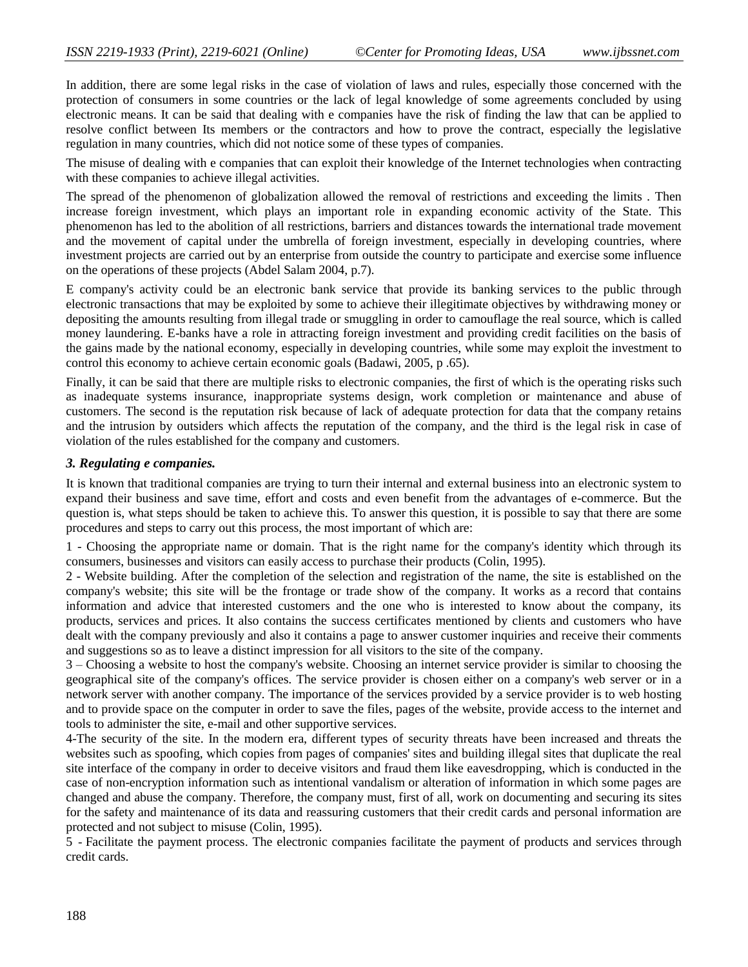In addition, there are some legal risks in the case of violation of laws and rules, especially those concerned with the protection of consumers in some countries or the lack of legal knowledge of some agreements concluded by using electronic means. It can be said that dealing with e companies have the risk of finding the law that can be applied to resolve conflict between Its members or the contractors and how to prove the contract, especially the legislative regulation in many countries, which did not notice some of these types of companies.

The misuse of dealing with e companies that can exploit their knowledge of the Internet technologies when contracting with these companies to achieve illegal activities.

The spread of the phenomenon of globalization allowed the removal of restrictions and exceeding the limits . Then increase foreign investment, which plays an important role in expanding economic activity of the State. This phenomenon has led to the abolition of all restrictions, barriers and distances towards the international trade movement and the movement of capital under the umbrella of foreign investment, especially in developing countries, where investment projects are carried out by an enterprise from outside the country to participate and exercise some influence on the operations of these projects (Abdel Salam 2004, p.7).

E company's activity could be an electronic bank service that provide its banking services to the public through electronic transactions that may be exploited by some to achieve their illegitimate objectives by withdrawing money or depositing the amounts resulting from illegal trade or smuggling in order to camouflage the real source, which is called money laundering. E-banks have a role in attracting foreign investment and providing credit facilities on the basis of the gains made by the national economy, especially in developing countries, while some may exploit the investment to control this economy to achieve certain economic goals (Badawi, 2005, p .65).

Finally, it can be said that there are multiple risks to electronic companies, the first of which is the operating risks such as inadequate systems insurance, inappropriate systems design, work completion or maintenance and abuse of customers. The second is the reputation risk because of lack of adequate protection for data that the company retains and the intrusion by outsiders which affects the reputation of the company, and the third is the legal risk in case of violation of the rules established for the company and customers.

#### *3. Regulating e companies.*

It is known that traditional companies are trying to turn their internal and external business into an electronic system to expand their business and save time, effort and costs and even benefit from the advantages of e-commerce. But the question is, what steps should be taken to achieve this. To answer this question, it is possible to say that there are some procedures and steps to carry out this process, the most important of which are:

1 - Choosing the appropriate name or domain. That is the right name for the company's identity which through its consumers, businesses and visitors can easily access to purchase their products (Colin, 1995).

2 - Website building. After the completion of the selection and registration of the name, the site is established on the company's website; this site will be the frontage or trade show of the company. It works as a record that contains information and advice that interested customers and the one who is interested to know about the company, its products, services and prices. It also contains the success certificates mentioned by clients and customers who have dealt with the company previously and also it contains a page to answer customer inquiries and receive their comments and suggestions so as to leave a distinct impression for all visitors to the site of the company.

3 – Choosing a website to host the company's website. Choosing an internet service provider is similar to choosing the geographical site of the company's offices. The service provider is chosen either on a company's web server or in a network server with another company. The importance of the services provided by a service provider is to web hosting and to provide space on the computer in order to save the files, pages of the website, provide access to the internet and tools to administer the site, e-mail and other supportive services.

4-The security of the site. In the modern era, different types of security threats have been increased and threats the websites such as spoofing, which copies from pages of companies' sites and building illegal sites that duplicate the real site interface of the company in order to deceive visitors and fraud them like eavesdropping, which is conducted in the case of non-encryption information such as intentional vandalism or alteration of information in which some pages are changed and abuse the company. Therefore, the company must, first of all, work on documenting and securing its sites for the safety and maintenance of its data and reassuring customers that their credit cards and personal information are protected and not subject to misuse (Colin, 1995).

5 - Facilitate the payment process. The electronic companies facilitate the payment of products and services through credit cards.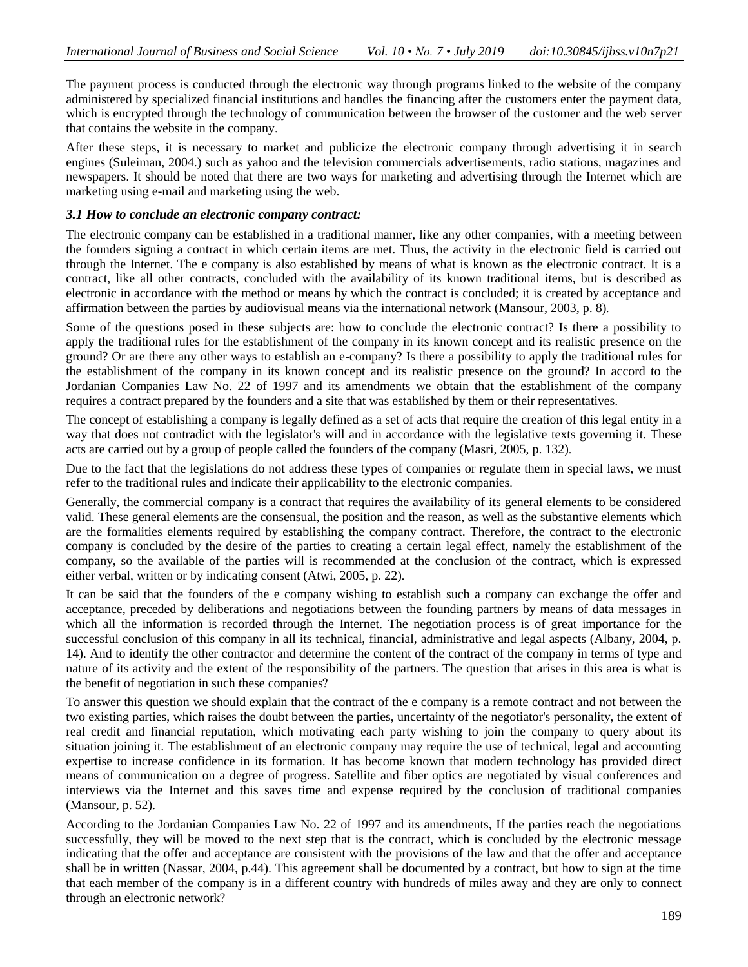The payment process is conducted through the electronic way through programs linked to the website of the company administered by specialized financial institutions and handles the financing after the customers enter the payment data, which is encrypted through the technology of communication between the browser of the customer and the web server that contains the website in the company.

After these steps, it is necessary to market and publicize the electronic company through advertising it in search engines (Suleiman, 2004.) such as yahoo and the television commercials advertisements, radio stations, magazines and newspapers. It should be noted that there are two ways for marketing and advertising through the Internet which are marketing using e-mail and marketing using the web.

## *3.1 How to conclude an electronic company contract:*

The electronic company can be established in a traditional manner, like any other companies, with a meeting between the founders signing a contract in which certain items are met. Thus, the activity in the electronic field is carried out through the Internet. The e company is also established by means of what is known as the electronic contract. It is a contract, like all other contracts, concluded with the availability of its known traditional items, but is described as electronic in accordance with the method or means by which the contract is concluded; it is created by acceptance and affirmation between the parties by audiovisual means via the international network (Mansour, 2003, p. 8).

Some of the questions posed in these subjects are: how to conclude the electronic contract? Is there a possibility to apply the traditional rules for the establishment of the company in its known concept and its realistic presence on the ground? Or are there any other ways to establish an e-company? Is there a possibility to apply the traditional rules for the establishment of the company in its known concept and its realistic presence on the ground? In accord to the Jordanian Companies Law No. 22 of 1997 and its amendments we obtain that the establishment of the company requires a contract prepared by the founders and a site that was established by them or their representatives.

The concept of establishing a company is legally defined as a set of acts that require the creation of this legal entity in a way that does not contradict with the legislator's will and in accordance with the legislative texts governing it. These acts are carried out by a group of people called the founders of the company (Masri, 2005, p. 132).

Due to the fact that the legislations do not address these types of companies or regulate them in special laws, we must refer to the traditional rules and indicate their applicability to the electronic companies.

Generally, the commercial company is a contract that requires the availability of its general elements to be considered valid. These general elements are the consensual, the position and the reason, as well as the substantive elements which are the formalities elements required by establishing the company contract. Therefore, the contract to the electronic company is concluded by the desire of the parties to creating a certain legal effect, namely the establishment of the company, so the available of the parties will is recommended at the conclusion of the contract, which is expressed either verbal, written or by indicating consent (Atwi, 2005, p. 22).

It can be said that the founders of the e company wishing to establish such a company can exchange the offer and acceptance, preceded by deliberations and negotiations between the founding partners by means of data messages in which all the information is recorded through the Internet. The negotiation process is of great importance for the successful conclusion of this company in all its technical, financial, administrative and legal aspects (Albany, 2004, p. 14). And to identify the other contractor and determine the content of the contract of the company in terms of type and nature of its activity and the extent of the responsibility of the partners. The question that arises in this area is what is the benefit of negotiation in such these companies?

To answer this question we should explain that the contract of the e company is a remote contract and not between the two existing parties, which raises the doubt between the parties, uncertainty of the negotiator's personality, the extent of real credit and financial reputation, which motivating each party wishing to join the company to query about its situation joining it. The establishment of an electronic company may require the use of technical, legal and accounting expertise to increase confidence in its formation. It has become known that modern technology has provided direct means of communication on a degree of progress. Satellite and fiber optics are negotiated by visual conferences and interviews via the Internet and this saves time and expense required by the conclusion of traditional companies (Mansour, p. 52).

According to the Jordanian Companies Law No. 22 of 1997 and its amendments, If the parties reach the negotiations successfully, they will be moved to the next step that is the contract, which is concluded by the electronic message indicating that the offer and acceptance are consistent with the provisions of the law and that the offer and acceptance shall be in written (Nassar, 2004, p.44). This agreement shall be documented by a contract, but how to sign at the time that each member of the company is in a different country with hundreds of miles away and they are only to connect through an electronic network?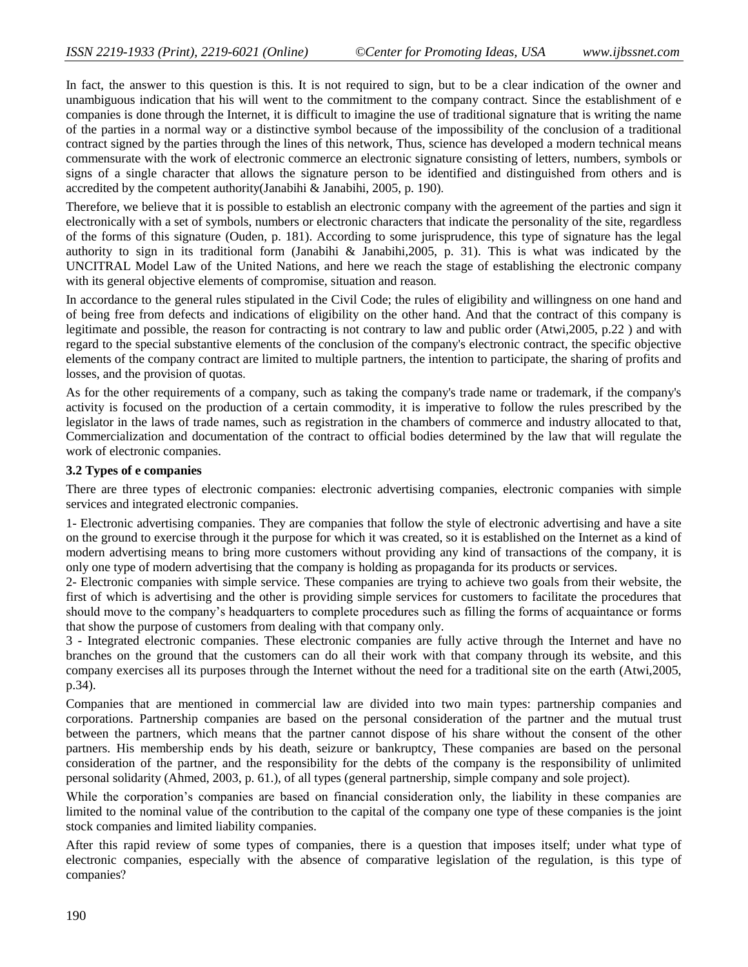In fact, the answer to this question is this. It is not required to sign, but to be a clear indication of the owner and unambiguous indication that his will went to the commitment to the company contract. Since the establishment of e companies is done through the Internet, it is difficult to imagine the use of traditional signature that is writing the name of the parties in a normal way or a distinctive symbol because of the impossibility of the conclusion of a traditional contract signed by the parties through the lines of this network, Thus, science has developed a modern technical means commensurate with the work of electronic commerce an electronic signature consisting of letters, numbers, symbols or signs of a single character that allows the signature person to be identified and distinguished from others and is accredited by the competent authority(Janabihi & Janabihi, 2005, p. 190).

Therefore, we believe that it is possible to establish an electronic company with the agreement of the parties and sign it electronically with a set of symbols, numbers or electronic characters that indicate the personality of the site, regardless of the forms of this signature (Ouden, p. 181). According to some jurisprudence, this type of signature has the legal authority to sign in its traditional form (Janabihi & Janabihi,2005, p. 31). This is what was indicated by the UNCITRAL Model Law of the United Nations, and here we reach the stage of establishing the electronic company with its general objective elements of compromise, situation and reason.

In accordance to the general rules stipulated in the Civil Code; the rules of eligibility and willingness on one hand and of being free from defects and indications of eligibility on the other hand. And that the contract of this company is legitimate and possible, the reason for contracting is not contrary to law and public order (Atwi,2005, p.22 ) and with regard to the special substantive elements of the conclusion of the company's electronic contract, the specific objective elements of the company contract are limited to multiple partners, the intention to participate, the sharing of profits and losses, and the provision of quotas.

As for the other requirements of a company, such as taking the company's trade name or trademark, if the company's activity is focused on the production of a certain commodity, it is imperative to follow the rules prescribed by the legislator in the laws of trade names, such as registration in the chambers of commerce and industry allocated to that, Commercialization and documentation of the contract to official bodies determined by the law that will regulate the work of electronic companies.

## **3.2 Types of e companies**

There are three types of electronic companies: electronic advertising companies, electronic companies with simple services and integrated electronic companies.

1- Electronic advertising companies. They are companies that follow the style of electronic advertising and have a site on the ground to exercise through it the purpose for which it was created, so it is established on the Internet as a kind of modern advertising means to bring more customers without providing any kind of transactions of the company, it is only one type of modern advertising that the company is holding as propaganda for its products or services.

2- Electronic companies with simple service. These companies are trying to achieve two goals from their website, the first of which is advertising and the other is providing simple services for customers to facilitate the procedures that should move to the company's headquarters to complete procedures such as filling the forms of acquaintance or forms that show the purpose of customers from dealing with that company only.

3 - Integrated electronic companies. These electronic companies are fully active through the Internet and have no branches on the ground that the customers can do all their work with that company through its website, and this company exercises all its purposes through the Internet without the need for a traditional site on the earth (Atwi,2005, p.34).

Companies that are mentioned in commercial law are divided into two main types: partnership companies and corporations. Partnership companies are based on the personal consideration of the partner and the mutual trust between the partners, which means that the partner cannot dispose of his share without the consent of the other partners. His membership ends by his death, seizure or bankruptcy, These companies are based on the personal consideration of the partner, and the responsibility for the debts of the company is the responsibility of unlimited personal solidarity (Ahmed, 2003, p. 61.), of all types (general partnership, simple company and sole project).

While the corporation's companies are based on financial consideration only, the liability in these companies are limited to the nominal value of the contribution to the capital of the company one type of these companies is the joint stock companies and limited liability companies.

After this rapid review of some types of companies, there is a question that imposes itself; under what type of electronic companies, especially with the absence of comparative legislation of the regulation, is this type of companies?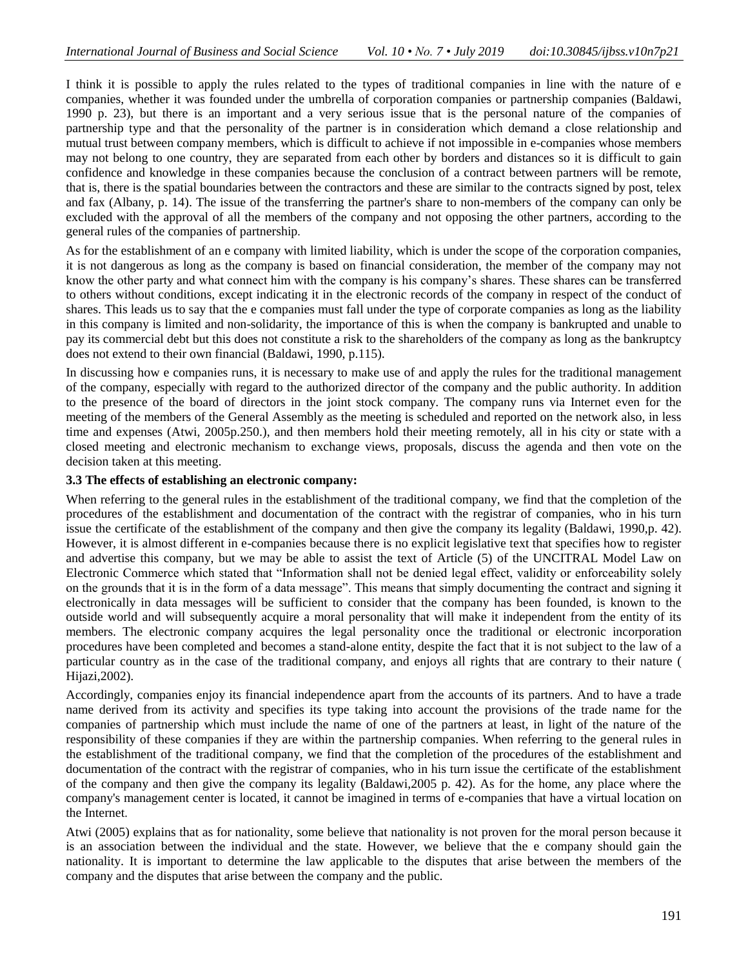I think it is possible to apply the rules related to the types of traditional companies in line with the nature of e companies, whether it was founded under the umbrella of corporation companies or partnership companies (Baldawi, 1990 p. 23), but there is an important and a very serious issue that is the personal nature of the companies of partnership type and that the personality of the partner is in consideration which demand a close relationship and mutual trust between company members, which is difficult to achieve if not impossible in e-companies whose members may not belong to one country, they are separated from each other by borders and distances so it is difficult to gain confidence and knowledge in these companies because the conclusion of a contract between partners will be remote, that is, there is the spatial boundaries between the contractors and these are similar to the contracts signed by post, telex and fax (Albany, p. 14). The issue of the transferring the partner's share to non-members of the company can only be excluded with the approval of all the members of the company and not opposing the other partners, according to the general rules of the companies of partnership.

As for the establishment of an e company with limited liability, which is under the scope of the corporation companies, it is not dangerous as long as the company is based on financial consideration, the member of the company may not know the other party and what connect him with the company is his company's shares. These shares can be transferred to others without conditions, except indicating it in the electronic records of the company in respect of the conduct of shares. This leads us to say that the e companies must fall under the type of corporate companies as long as the liability in this company is limited and non-solidarity, the importance of this is when the company is bankrupted and unable to pay its commercial debt but this does not constitute a risk to the shareholders of the company as long as the bankruptcy does not extend to their own financial (Baldawi, 1990, p.115).

In discussing how e companies runs, it is necessary to make use of and apply the rules for the traditional management of the company, especially with regard to the authorized director of the company and the public authority. In addition to the presence of the board of directors in the joint stock company. The company runs via Internet even for the meeting of the members of the General Assembly as the meeting is scheduled and reported on the network also, in less time and expenses (Atwi, 2005p.250.), and then members hold their meeting remotely, all in his city or state with a closed meeting and electronic mechanism to exchange views, proposals, discuss the agenda and then vote on the decision taken at this meeting.

## **3.3 The effects of establishing an electronic company:**

When referring to the general rules in the establishment of the traditional company, we find that the completion of the procedures of the establishment and documentation of the contract with the registrar of companies, who in his turn issue the certificate of the establishment of the company and then give the company its legality (Baldawi, 1990,p. 42). However, it is almost different in e-companies because there is no explicit legislative text that specifies how to register and advertise this company, but we may be able to assist the text of Article (5) of the UNCITRAL Model Law on Electronic Commerce which stated that "Information shall not be denied legal effect, validity or enforceability solely on the grounds that it is in the form of a data message". This means that simply documenting the contract and signing it electronically in data messages will be sufficient to consider that the company has been founded, is known to the outside world and will subsequently acquire a moral personality that will make it independent from the entity of its members. The electronic company acquires the legal personality once the traditional or electronic incorporation procedures have been completed and becomes a stand-alone entity, despite the fact that it is not subject to the law of a particular country as in the case of the traditional company, and enjoys all rights that are contrary to their nature ( Hijazi,2002).

Accordingly, companies enjoy its financial independence apart from the accounts of its partners. And to have a trade name derived from its activity and specifies its type taking into account the provisions of the trade name for the companies of partnership which must include the name of one of the partners at least, in light of the nature of the responsibility of these companies if they are within the partnership companies. When referring to the general rules in the establishment of the traditional company, we find that the completion of the procedures of the establishment and documentation of the contract with the registrar of companies, who in his turn issue the certificate of the establishment of the company and then give the company its legality (Baldawi,2005 p. 42). As for the home, any place where the company's management center is located, it cannot be imagined in terms of e-companies that have a virtual location on the Internet.

Atwi (2005) explains that as for nationality, some believe that nationality is not proven for the moral person because it is an association between the individual and the state. However, we believe that the e company should gain the nationality. It is important to determine the law applicable to the disputes that arise between the members of the company and the disputes that arise between the company and the public.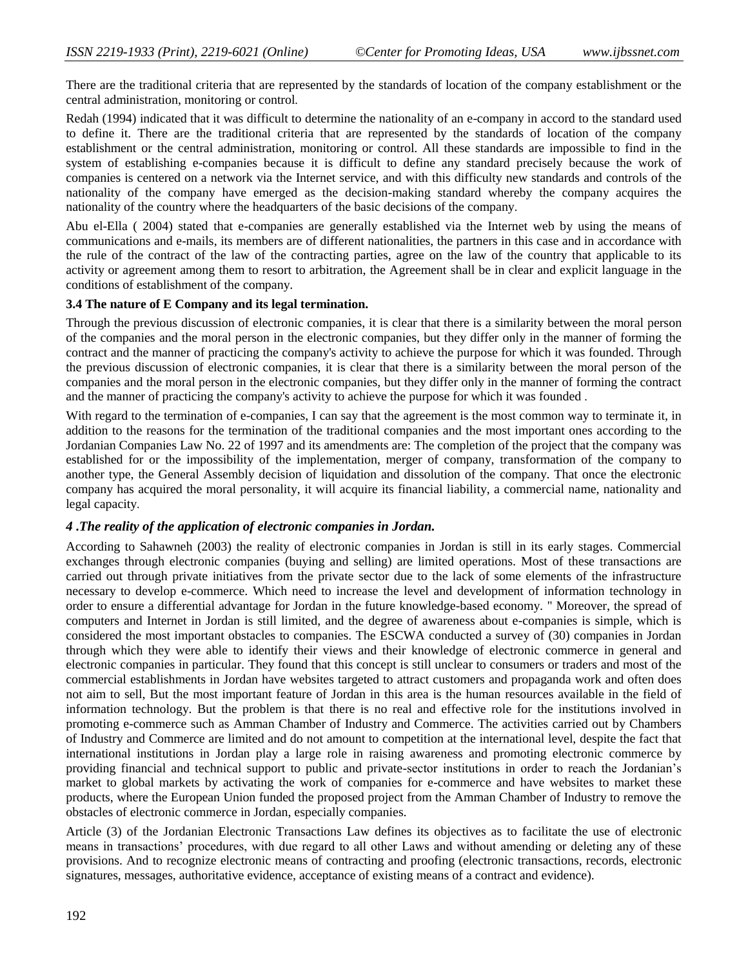There are the traditional criteria that are represented by the standards of location of the company establishment or the central administration, monitoring or control.

Redah (1994) indicated that it was difficult to determine the nationality of an e-company in accord to the standard used to define it. There are the traditional criteria that are represented by the standards of location of the company establishment or the central administration, monitoring or control. All these standards are impossible to find in the system of establishing e-companies because it is difficult to define any standard precisely because the work of companies is centered on a network via the Internet service, and with this difficulty new standards and controls of the nationality of the company have emerged as the decision-making standard whereby the company acquires the nationality of the country where the headquarters of the basic decisions of the company.

Abu el-Ella ( 2004) stated that e-companies are generally established via the Internet web by using the means of communications and e-mails, its members are of different nationalities, the partners in this case and in accordance with the rule of the contract of the law of the contracting parties, agree on the law of the country that applicable to its activity or agreement among them to resort to arbitration, the Agreement shall be in clear and explicit language in the conditions of establishment of the company.

## **3.4 The nature of E Company and its legal termination.**

Through the previous discussion of electronic companies, it is clear that there is a similarity between the moral person of the companies and the moral person in the electronic companies, but they differ only in the manner of forming the contract and the manner of practicing the company's activity to achieve the purpose for which it was founded. Through the previous discussion of electronic companies, it is clear that there is a similarity between the moral person of the companies and the moral person in the electronic companies, but they differ only in the manner of forming the contract and the manner of practicing the company's activity to achieve the purpose for which it was founded .

With regard to the termination of e-companies, I can say that the agreement is the most common way to terminate it, in addition to the reasons for the termination of the traditional companies and the most important ones according to the Jordanian Companies Law No. 22 of 1997 and its amendments are: The completion of the project that the company was established for or the impossibility of the implementation, merger of company, transformation of the company to another type, the General Assembly decision of liquidation and dissolution of the company. That once the electronic company has acquired the moral personality, it will acquire its financial liability, a commercial name, nationality and legal capacity.

# *4* **.***The reality of the application of electronic companies in Jordan.*

According to Sahawneh (2003) the reality of electronic companies in Jordan is still in its early stages. Commercial exchanges through electronic companies (buying and selling) are limited operations. Most of these transactions are carried out through private initiatives from the private sector due to the lack of some elements of the infrastructure necessary to develop e-commerce. Which need to increase the level and development of information technology in order to ensure a differential advantage for Jordan in the future knowledge-based economy. " Moreover, the spread of computers and Internet in Jordan is still limited, and the degree of awareness about e-companies is simple, which is considered the most important obstacles to companies. The ESCWA conducted a survey of (30) companies in Jordan through which they were able to identify their views and their knowledge of electronic commerce in general and electronic companies in particular. They found that this concept is still unclear to consumers or traders and most of the commercial establishments in Jordan have websites targeted to attract customers and propaganda work and often does not aim to sell, But the most important feature of Jordan in this area is the human resources available in the field of information technology. But the problem is that there is no real and effective role for the institutions involved in promoting e-commerce such as Amman Chamber of Industry and Commerce. The activities carried out by Chambers of Industry and Commerce are limited and do not amount to competition at the international level, despite the fact that international institutions in Jordan play a large role in raising awareness and promoting electronic commerce by providing financial and technical support to public and private-sector institutions in order to reach the Jordanian's market to global markets by activating the work of companies for e-commerce and have websites to market these products, where the European Union funded the proposed project from the Amman Chamber of Industry to remove the obstacles of electronic commerce in Jordan, especially companies.

Article (3) of the Jordanian Electronic Transactions Law defines its objectives as to facilitate the use of electronic means in transactions' procedures, with due regard to all other Laws and without amending or deleting any of these provisions. And to recognize electronic means of contracting and proofing (electronic transactions, records, electronic signatures, messages, authoritative evidence, acceptance of existing means of a contract and evidence).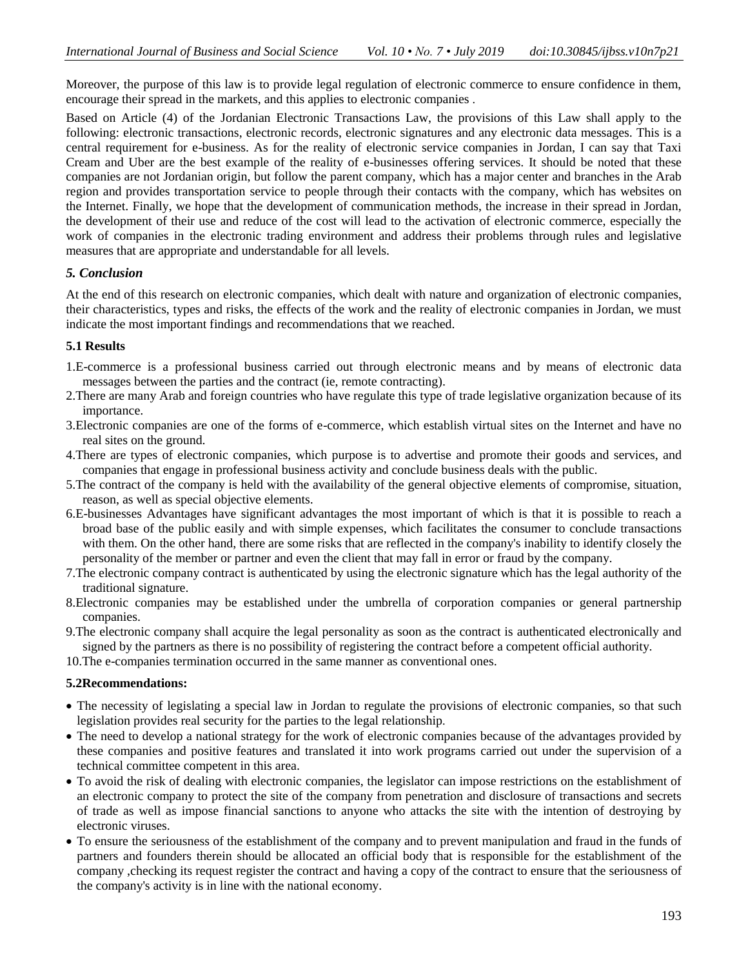Moreover, the purpose of this law is to provide legal regulation of electronic commerce to ensure confidence in them, encourage their spread in the markets, and this applies to electronic companies .

Based on Article (4) of the Jordanian Electronic Transactions Law, the provisions of this Law shall apply to the following: electronic transactions, electronic records, electronic signatures and any electronic data messages. This is a central requirement for e-business. As for the reality of electronic service companies in Jordan, I can say that Taxi Cream and Uber are the best example of the reality of e-businesses offering services. It should be noted that these companies are not Jordanian origin, but follow the parent company, which has a major center and branches in the Arab region and provides transportation service to people through their contacts with the company, which has websites on the Internet. Finally, we hope that the development of communication methods, the increase in their spread in Jordan, the development of their use and reduce of the cost will lead to the activation of electronic commerce, especially the work of companies in the electronic trading environment and address their problems through rules and legislative measures that are appropriate and understandable for all levels.

# *5. Conclusion*

At the end of this research on electronic companies, which dealt with nature and organization of electronic companies, their characteristics, types and risks, the effects of the work and the reality of electronic companies in Jordan, we must indicate the most important findings and recommendations that we reached.

# **5.1 Results**

- 1.E-commerce is a professional business carried out through electronic means and by means of electronic data messages between the parties and the contract (ie, remote contracting).
- 2.There are many Arab and foreign countries who have regulate this type of trade legislative organization because of its importance.
- 3.Electronic companies are one of the forms of e-commerce, which establish virtual sites on the Internet and have no real sites on the ground.
- 4.There are types of electronic companies, which purpose is to advertise and promote their goods and services, and companies that engage in professional business activity and conclude business deals with the public.
- 5.The contract of the company is held with the availability of the general objective elements of compromise, situation, reason, as well as special objective elements.
- 6.E-businesses Advantages have significant advantages the most important of which is that it is possible to reach a broad base of the public easily and with simple expenses, which facilitates the consumer to conclude transactions with them. On the other hand, there are some risks that are reflected in the company's inability to identify closely the personality of the member or partner and even the client that may fall in error or fraud by the company.
- 7.The electronic company contract is authenticated by using the electronic signature which has the legal authority of the traditional signature.
- 8.Electronic companies may be established under the umbrella of corporation companies or general partnership companies.
- 9.The electronic company shall acquire the legal personality as soon as the contract is authenticated electronically and signed by the partners as there is no possibility of registering the contract before a competent official authority.

10.The e-companies termination occurred in the same manner as conventional ones.

#### **5.2Recommendations:**

- The necessity of legislating a special law in Jordan to regulate the provisions of electronic companies, so that such legislation provides real security for the parties to the legal relationship.
- The need to develop a national strategy for the work of electronic companies because of the advantages provided by these companies and positive features and translated it into work programs carried out under the supervision of a technical committee competent in this area.
- To avoid the risk of dealing with electronic companies, the legislator can impose restrictions on the establishment of an electronic company to protect the site of the company from penetration and disclosure of transactions and secrets of trade as well as impose financial sanctions to anyone who attacks the site with the intention of destroying by electronic viruses.
- To ensure the seriousness of the establishment of the company and to prevent manipulation and fraud in the funds of partners and founders therein should be allocated an official body that is responsible for the establishment of the company ,checking its request register the contract and having a copy of the contract to ensure that the seriousness of the company's activity is in line with the national economy.